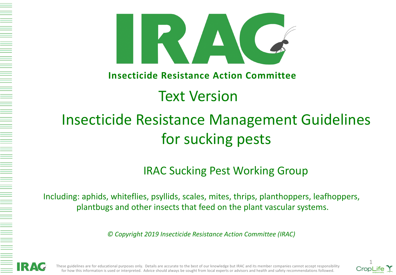

**Insecticide Resistance Action Committee**

# Text Version

# Insecticide Resistance Management Guidelines for sucking pests

IRAC Sucking Pest Working Group

Including: aphids, whiteflies, psyllids, scales, mites, thrips, planthoppers, leafhoppers, plantbugs and other insects that feed on the plant vascular systems.

*© Copyright 2019 Insecticide Resistance Action Committee (IRAC)*

RAC

These guidelines are for educational purposes only. Details are accurate to the best of our knowledge but IRAC and its member companies cannot accept responsibility for how this information is used or interpreted. Advice should always be sought from local experts or advisors and health and safety recommendations followed.

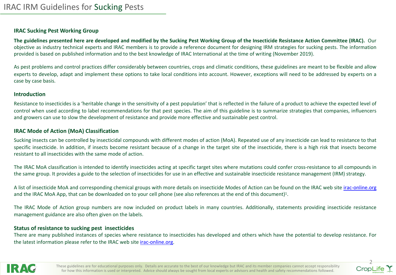# IRAC IRM Guidelines for Sucking Pests

## **IRAC Sucking Pest Working Group**

The guidelines presented here are developed and modified by the Sucking Pest Working Group of the Insecticide Resistance Ac objective as industry technical experts and IRAC members is to provide a reference document for designing IRM strategies for su provided is based on published information and to the best knowledge of IRAC International at the time of writing (November 2019).

As pest problems and control practices differ considerably between countries, crops and climatic conditions, these guidelines are m experts to develop, adapt and implement these options to take local conditions into account. However, exceptions will need to b case by case basis.

#### **Introduction**

Resistance to insecticides is a 'heritable change in the sensitivity of a pest population' that is reflected in the failure of a product to control when used according to label recommendations for that pest species. The aim of this guideline is to summarize strategies and growers can use to slow the development of resistance and [provid](http://www.irac-online.org)e more effective and sustainable pest control.

## **IRAC Mode of Action (MoA) Classification**

Sucking insects can be controlled by insecticidal compounds with different modes of action (MoA). Repeated use of any insecticide specific insecticide. In addition, if insects become resistant because of a change in the target site of the insecticide, there is a high risk that insecticide. resistant to all insecticides with the same mode of action.

The IRAC MoA classification is intended to identify insecticides acting at specific target sites where mutations could confer cross-re the same group. It provides a guide to the selection of insecticides for use in an effective and sustainable insecticide resistance man

A list of insecticide MoA and corresponding chemical groups with more details on insecticide Modes of Action can be found on the and the IRAC MoA App, that can be downloaded on to your cell phone (see also references at the end of this document)<sup>1</sup>.

The IRAC Mode of Action group numbers are now included on product labels in many countries. Additionally, statements pro management guidance are also often given on the labels.

## **Status of resistance to sucking pest insecticides**

There are many published instances of species where resistance to insecticides has developed and others which have the potent the latest information please refer to the IRAC web site *irac-online.org*.

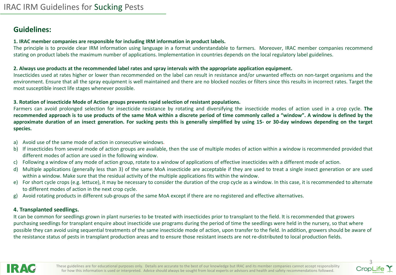## **Guidelines:**

## **1. IRAC member companies are responsible for including IRM information in product labels.**

The principle is to provide clear IRM information using language in a format understandable to farmers. Moreover, IRAC member companies recommend stating on product labels the maximum number of applications. Implementation in countries depends on the local regulatory label guidelines.

## 2. Always use products at the recommended label rates and spray intervals with the appropriate application equipment.

Insecticides used at rates higher or lower than recommended on the label can result in resistance and/or unwanted effects on non-target organisms and the environment. Ensure that all the spray equipment is well maintained and there are no blocked nozzles or filters since this results in incorrect rates. Target the most susceptible insect life stages whenever possible.

## **3. Rotation of insecticide Mode of Action groups prevents rapid selection of resistant populations.**

Farmers can avoid prolonged selection for insecticide resistance by rotating and diversifying the insecticide modes of action used in a crop cycle. **The** recommended approach is to use products of the same MoA within a discrete period of time commonly called a "window". A window is defined by the approximate duration of an insect generation. For sucking pests this is generally simplified by using 15- or 30-day windows depending on the target **species.**

- a) Avoid use of the same mode of action in consecutive windows.
- b) If insecticides from several mode of action groups are available, then the use of multiple modes of action within a window is recommended provided that different modes of action are used in the following window.
- c) Following a window of any mode of action group, rotate to a window of applications of effective insecticides with a different mode of action.
- d) Multiple applications (generally less than 3) of the same MoA insecticide are acceptable if they are used to treat a single insect generation or are used within a window. Make sure that the residual activity of the multiple applications fits within the window.
- e) For short cycle crops (e.g. lettuce), it may be necessary to consider the duration of the crop cycle as a window. In this case, it is recommended to alternate to different modes of action in the next crop cycle.
- g) Avoid rotating products in different sub-groups of the same MoA except if there are no registered and effective alternatives.

## **4. Transplanted seedlings.**

It can be common for seedlings grown in plant nurseries to be treated with insecticides prior to transplant to the field. It is recommended that growers purchasing seedlings for transplant enquire about insecticide use programs during the period of time the seedlings were held in the nursery, so that where possible they can avoid using sequential treatments of the same insecticide mode of action, upon transfer to the field. In addition, growers should be aware of the resistance status of pests in transplant production areas and to ensure those resistant insects are not re-distributed to local production fields.



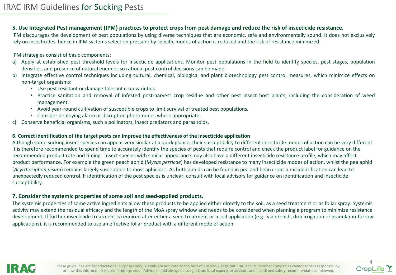## 5. Use Integrated Pest management (IPM) practices to protect crops from pest damage and reduce the risk of insecticide resistance.

IPM discourages the development of pest populations by using diverse techniques that are economic, safe and environmentally sound. It does not exclusively rely on insecticides, hence in IPM systems selection pressure by specific modes of action is reduced and the risk of resistance minimized.

IPM strategies consist of basic components:

- a) Apply at established pest threshold levels for insecticide applications. Monitor pest populations in the field to identify species, pest stages, population densities, and presence of natural enemies so rational pest control decisions can be made.
- b) Integrate effective control techniques including cultural, chemical, biological and plant biotechnology pest control measures, which minimize effects on non-target organisms:
	- Use pest resistant or damage tolerant crop varieties.
	- Practice sanitation and removal of infested post-harvest crop residue and other pest insect host plants, including the consideration of weed management.
	- Avoid year-round cultivation of susceptible crops to limit survival of treated pest populations.
	- Consider deploying alarm or disruption pheromones where appropriate.
- c) Conserve beneficial organisms, such a pollinators, insect predators and parasitoids.

## **6. Correct identification of the target pests can improve the effectiveness of the insecticide application**

Although some sucking insect species can appear very similar at a quick glance, their susceptibility to different insecticide modes of action can be very different. It is therefore recommended to spend time to accurately identify the species of pests that require control and check the product label for guidance on the recommended product rate and timing. Insect species with similar appearance may also have a different insecticide resistance profile, which may affect product performance. For example the green peach aphid (*Myzus persicae*) has developed resistance to many insecticide modes of action, whilst the pea aphid (*Acyrthosiphon pisum*) remains largely susceptible to most aphicides. As both aphids can be found in pea and bean crops a misidentification can lead to unexpectedly reduced control. If identification of the pest species is unclear, consult with local advisors for guidance on identification and insecticide susceptibility.

## **7. Consider the systemic properties of some soil and seed-applied products.**

The systemic properties of some active ingredients allow these products to be applied either directly to the soil, as a seed treatment or as foliar spray. Systemic activity may extend the residual efficacy and the length of the MoA spray window and needs to be considered when planning a program to minimize resistance development. If further insecticide treatment is required after either a seed treatment or a soil application (e.g. via drench, drip irrigation or granular in-furrow applications), it is recommended to use an effective foliar product with a different mode of action.



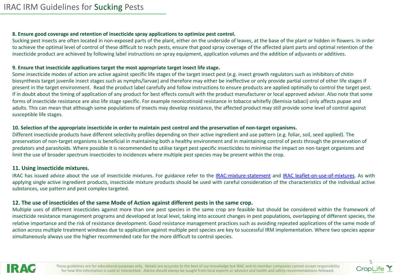# IRAC IRM Guidelines for Sucking Pests

## **8. Ensure good coverage and retention of insecticide spray applications to optimize pest control.**

Sucking pest insects are often located in non-exposed parts of the plant, either on the underside of leaves, at the base of the plant o to achieve the optimal level of control of these difficult to reach pests, ensure that good s[pray coverage of the affe](http://www.irac-online.org/documents/irac-mixture-statement/%3Fext=pdf)cted plant parts a insecticide product are achieved by following label instructions on spray equipment, application volumes and the addition of adjuvant

## **9. Ensure that insecticide applications target the most appropriate target insect life stage.**

Some insecticide modes of action are active against specific life stages of the target insect pest (e.g. insect growth regulators such as biosynthesis target juvenile insect stages such as nymphs/larvae) and therefore may either be ineffective or only provide partial con present in the target environment. Read the product label carefully and follow instructions to ensure products are applied optimally If in doubt about the timing of application of any product for best effects consult with the product manufacturer or local approved a forms of insecticide resistance are also life stage specific. For example neonicotinoid resistance in tobacco whitefly (Bemisia tabaci) on adults. This can mean that although some populations of insects may develop resistance, the affected product may still provide som susceptible life stages.

## **10. Selection of the appropriate insecticide in order to maintain pest control and the preservation of non-target organisms.**

Different insecticide products have different selectivity profiles depending on their active ingredient and use pattern (e.g. foliar, soil preservation of non-target organisms is beneficial in maintaining both a healthy environment and in maintaining control of pests thr predators and parasitoids. Where possible it is recommended to utilise target pest specific insecticides to minimise the impact on no limit the use of broader spectrum insecticides to incidences where multiple pest species may be present within the crop.

## **11. Using insecticide mixtures.**

IRAC has issued advice about the use of insecticide mixtures. For guidance refer to the IRAC-mixture-statement and IRAC leafletapplying single active ingredient products, insecticide mixture products should be used with careful consideration of the character substances, use pattern and pest complex targeted.

## **12. The use of insecticides of the same Mode of Action against different pests in the same crop.**

Multiple uses of different insecticides against more than one pest species in the same crop are feasible but should be consider insecticide resistance management programs and developed at local level, taking into account changes in pest populations, overlap relative importance and the risk of resistance development. Good resistance management practices such as avoiding repeated appli action across multiple treatment windows due to application against multiple pest species are key to successful IRM implementation simultaneously always use the higher recommended rate for the more difficult to control species.